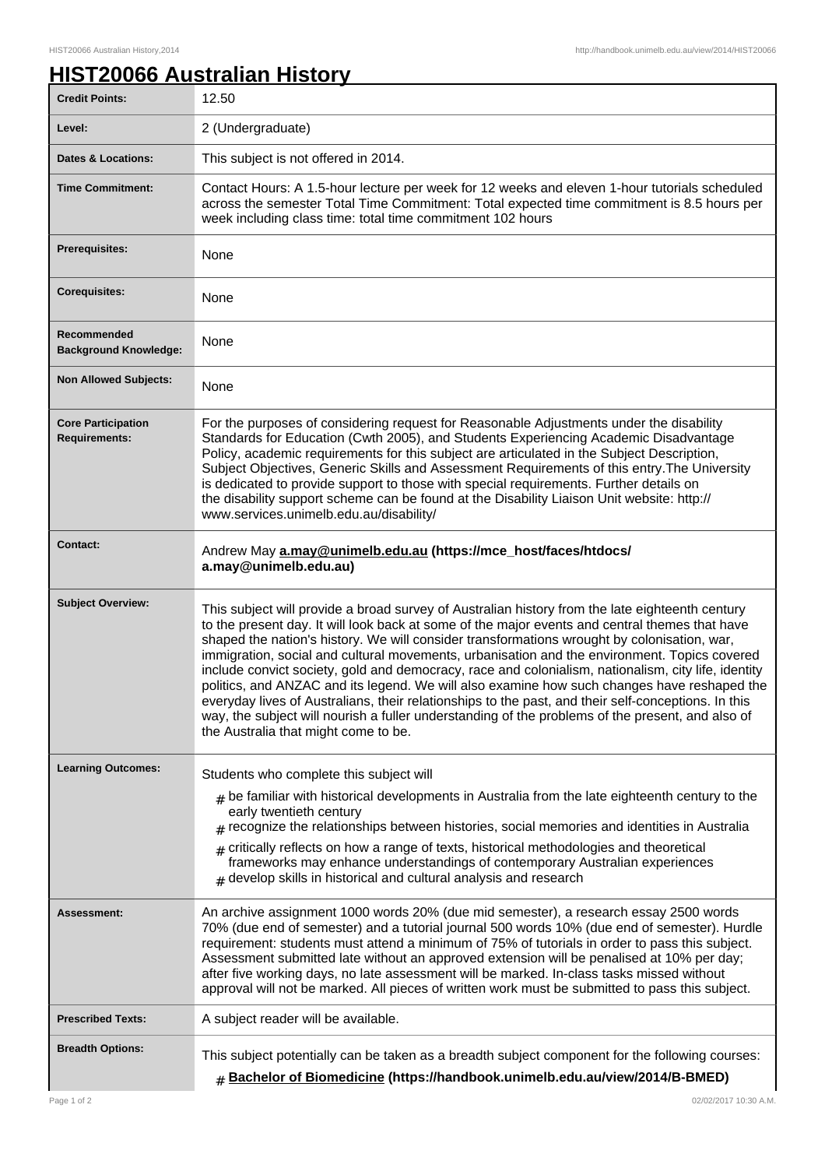## **HIST20066 Australian History**

| <b>Credit Points:</b>                             | 12.50                                                                                                                                                                                                                                                                                                                                                                                                                                                                                                                                                                                                                                                                                                                                                                                                                                                     |
|---------------------------------------------------|-----------------------------------------------------------------------------------------------------------------------------------------------------------------------------------------------------------------------------------------------------------------------------------------------------------------------------------------------------------------------------------------------------------------------------------------------------------------------------------------------------------------------------------------------------------------------------------------------------------------------------------------------------------------------------------------------------------------------------------------------------------------------------------------------------------------------------------------------------------|
| Level:                                            | 2 (Undergraduate)                                                                                                                                                                                                                                                                                                                                                                                                                                                                                                                                                                                                                                                                                                                                                                                                                                         |
| <b>Dates &amp; Locations:</b>                     | This subject is not offered in 2014.                                                                                                                                                                                                                                                                                                                                                                                                                                                                                                                                                                                                                                                                                                                                                                                                                      |
| <b>Time Commitment:</b>                           | Contact Hours: A 1.5-hour lecture per week for 12 weeks and eleven 1-hour tutorials scheduled<br>across the semester Total Time Commitment: Total expected time commitment is 8.5 hours per<br>week including class time: total time commitment 102 hours                                                                                                                                                                                                                                                                                                                                                                                                                                                                                                                                                                                                 |
| <b>Prerequisites:</b>                             | None                                                                                                                                                                                                                                                                                                                                                                                                                                                                                                                                                                                                                                                                                                                                                                                                                                                      |
| <b>Corequisites:</b>                              | None                                                                                                                                                                                                                                                                                                                                                                                                                                                                                                                                                                                                                                                                                                                                                                                                                                                      |
| Recommended<br><b>Background Knowledge:</b>       | None                                                                                                                                                                                                                                                                                                                                                                                                                                                                                                                                                                                                                                                                                                                                                                                                                                                      |
| <b>Non Allowed Subjects:</b>                      | None                                                                                                                                                                                                                                                                                                                                                                                                                                                                                                                                                                                                                                                                                                                                                                                                                                                      |
| <b>Core Participation</b><br><b>Requirements:</b> | For the purposes of considering request for Reasonable Adjustments under the disability<br>Standards for Education (Cwth 2005), and Students Experiencing Academic Disadvantage<br>Policy, academic requirements for this subject are articulated in the Subject Description,<br>Subject Objectives, Generic Skills and Assessment Requirements of this entry. The University<br>is dedicated to provide support to those with special requirements. Further details on<br>the disability support scheme can be found at the Disability Liaison Unit website: http://<br>www.services.unimelb.edu.au/disability/                                                                                                                                                                                                                                          |
| <b>Contact:</b>                                   | Andrew May a.may@unimelb.edu.au (https://mce_host/faces/htdocs/<br>a.may@unimelb.edu.au)                                                                                                                                                                                                                                                                                                                                                                                                                                                                                                                                                                                                                                                                                                                                                                  |
| <b>Subject Overview:</b>                          | This subject will provide a broad survey of Australian history from the late eighteenth century<br>to the present day. It will look back at some of the major events and central themes that have<br>shaped the nation's history. We will consider transformations wrought by colonisation, war,<br>immigration, social and cultural movements, urbanisation and the environment. Topics covered<br>include convict society, gold and democracy, race and colonialism, nationalism, city life, identity<br>politics, and ANZAC and its legend. We will also examine how such changes have reshaped the<br>everyday lives of Australians, their relationships to the past, and their self-conceptions. In this<br>way, the subject will nourish a fuller understanding of the problems of the present, and also of<br>the Australia that might come to be. |
| <b>Learning Outcomes:</b>                         | Students who complete this subject will                                                                                                                                                                                                                                                                                                                                                                                                                                                                                                                                                                                                                                                                                                                                                                                                                   |
|                                                   | $_{\#}$ be familiar with historical developments in Australia from the late eighteenth century to the<br>early twentieth century<br>$_{\text{\#}}$ recognize the relationships between histories, social memories and identities in Australia<br>$*$ critically reflects on how a range of texts, historical methodologies and theoretical<br>frameworks may enhance understandings of contemporary Australian experiences<br>$#$ develop skills in historical and cultural analysis and research                                                                                                                                                                                                                                                                                                                                                         |
| Assessment:                                       | An archive assignment 1000 words 20% (due mid semester), a research essay 2500 words<br>70% (due end of semester) and a tutorial journal 500 words 10% (due end of semester). Hurdle<br>requirement: students must attend a minimum of 75% of tutorials in order to pass this subject.<br>Assessment submitted late without an approved extension will be penalised at 10% per day;<br>after five working days, no late assessment will be marked. In-class tasks missed without<br>approval will not be marked. All pieces of written work must be submitted to pass this subject.                                                                                                                                                                                                                                                                       |
| <b>Prescribed Texts:</b>                          | A subject reader will be available.                                                                                                                                                                                                                                                                                                                                                                                                                                                                                                                                                                                                                                                                                                                                                                                                                       |
| <b>Breadth Options:</b>                           | This subject potentially can be taken as a breadth subject component for the following courses:<br><b># Bachelor of Biomedicine (https://handbook.unimelb.edu.au/view/2014/B-BMED)</b>                                                                                                                                                                                                                                                                                                                                                                                                                                                                                                                                                                                                                                                                    |